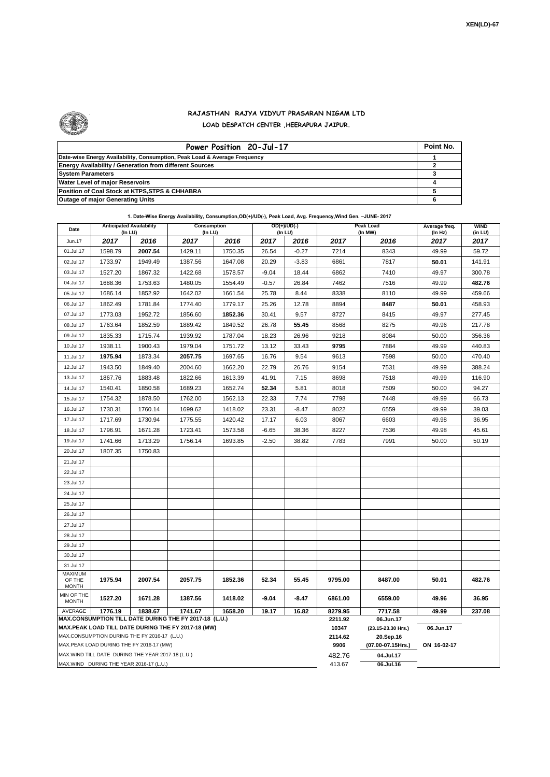

 $\mathbf{r}$ 

## **RAJASTHAN RAJYA VIDYUT PRASARAN NIGAM LTD LOAD DESPATCH CENTER ,HEERAPURA JAIPUR.**

| Power Position 20-Jul-17                                                  | Point No. |
|---------------------------------------------------------------------------|-----------|
| Date-wise Energy Availability, Consumption, Peak Load & Average Frequency |           |
| <b>Energy Availability / Generation from different Sources</b>            |           |
| <b>System Parameters</b>                                                  |           |
| <b>Water Level of major Reservoirs</b>                                    |           |
| Position of Coal Stock at KTPS, STPS & CHHABRA                            |           |
| <b>Outage of major Generating Units</b>                                   |           |

|  | 1. Date-Wise Energy Availability, Consumption, OD(+)/UD(-), Peak Load, Avg. Frequency, Wind Gen. -JUNE- 2017 |  |
|--|--------------------------------------------------------------------------------------------------------------|--|
|  |                                                                                                              |  |

| Date                                                                                                         |                                          | <b>Anticipated Availability</b><br>$OD(+)/UD(-)$<br><b>Consumption</b><br>(In LU)<br>(In LU)<br>(In LU) |         |         |                  | <b>Peak Load</b><br>(In MW)     | Average freq.<br>(In Hz) | <b>WIND</b><br>(in LU) |             |        |
|--------------------------------------------------------------------------------------------------------------|------------------------------------------|---------------------------------------------------------------------------------------------------------|---------|---------|------------------|---------------------------------|--------------------------|------------------------|-------------|--------|
| Jun.17                                                                                                       | 2017                                     | 2016                                                                                                    | 2017    | 2016    | 2017             | 2016                            | 2017                     | 2016                   | 2017        | 2017   |
| 01.Jul.17                                                                                                    | 1598.79                                  | 2007.54                                                                                                 | 1429.11 | 1750.35 | 26.54            | $-0.27$                         | 7214                     | 8343                   | 49.99       | 59.72  |
| 02.Jul.17                                                                                                    | 1733.97                                  | 1949.49                                                                                                 | 1387.56 | 1647.08 | 20.29            | $-3.83$                         | 6861                     | 7817                   | 50.01       | 141.91 |
| 03.Jul.17                                                                                                    | 1527.20                                  | 1867.32                                                                                                 | 1422.68 | 1578.57 | $-9.04$          | 18.44                           | 6862                     | 7410                   | 49.97       | 300.78 |
| 04.Jul.17                                                                                                    | 1688.36                                  | 1753.63                                                                                                 | 1480.05 | 1554.49 | $-0.57$          | 26.84                           | 7462                     | 7516                   | 49.99       | 482.76 |
| 05.Jul.17                                                                                                    | 1686.14                                  | 1852.92                                                                                                 | 1642.02 | 1661.54 | 25.78            | 8.44                            | 8338                     | 8110                   | 49.99       | 459.66 |
| 06.Jul.17                                                                                                    | 1862.49                                  | 1781.84                                                                                                 | 1774.40 | 1779.17 | 25.26            | 12.78                           | 8894                     | 8487                   | 50.01       | 458.93 |
| 07.Jul.17                                                                                                    | 1773.03                                  | 1952.72                                                                                                 | 1856.60 | 1852.36 | 30.41            | 9.57                            | 8727                     | 8415                   | 49.97       | 277.45 |
| 08.Jul.17                                                                                                    | 1763.64                                  | 1852.59                                                                                                 | 1889.42 | 1849.52 | 26.78            | 55.45                           | 8568                     | 8275                   | 49.96       | 217.78 |
| 09.Jul.17                                                                                                    | 1835.33                                  | 1715.74                                                                                                 | 1939.92 | 1787.04 | 18.23            | 26.96                           | 9218                     | 8084                   | 50.00       | 356.36 |
| 10.Jul.17                                                                                                    | 1938.11                                  | 1900.43                                                                                                 | 1979.04 | 1751.72 | 13.12            | 33.43                           | 9795                     | 7884                   | 49.99       | 440.83 |
| 11.Jul.17                                                                                                    | 1975.94                                  | 1873.34                                                                                                 | 2057.75 | 1697.65 | 16.76            | 9.54                            | 9613                     | 7598                   | 50.00       | 470.40 |
| 12.Jul.17                                                                                                    | 1943.50                                  | 1849.40                                                                                                 | 2004.60 | 1662.20 | 22.79            | 26.76                           | 9154                     | 7531                   | 49.99       | 388.24 |
| 13.Jul.17                                                                                                    | 1867.76                                  | 1883.48                                                                                                 | 1822.66 | 1613.39 | 41.91            | 7.15                            | 8698                     | 7518                   | 49.99       | 116.90 |
| 14.Jul.17                                                                                                    | 1540.41                                  | 1850.58                                                                                                 | 1689.23 | 1652.74 | 52.34            | 5.81                            | 8018                     | 7509                   | 50.00       | 94.27  |
| 15.Jul.17                                                                                                    | 1754.32                                  | 1878.50                                                                                                 | 1762.00 | 1562.13 | 22.33            | 7.74                            | 7798                     | 7448                   | 49.99       | 66.73  |
| 16.Jul.17                                                                                                    | 1730.31                                  | 1760.14                                                                                                 | 1699.62 | 1418.02 | 23.31            | $-8.47$                         | 8022                     | 6559                   | 49.99       | 39.03  |
| 17.Jul.17                                                                                                    | 1717.69                                  | 1730.94                                                                                                 | 1775.55 | 1420.42 | 17.17            | 6.03                            | 8067                     | 6603                   | 49.98       | 36.95  |
| 18.Jul.17                                                                                                    | 1796.91                                  | 1671.28                                                                                                 | 1723.41 | 1573.58 | $-6.65$          | 38.36                           | 8227                     | 7536                   | 49.98       | 45.61  |
| 19.Jul.17                                                                                                    | 1741.66                                  | 1713.29                                                                                                 | 1756.14 | 1693.85 | $-2.50$          | 38.82                           | 7783                     | 7991                   | 50.00       | 50.19  |
| 20.Jul.17                                                                                                    | 1807.35                                  | 1750.83                                                                                                 |         |         |                  |                                 |                          |                        |             |        |
| 21.Jul.17                                                                                                    |                                          |                                                                                                         |         |         |                  |                                 |                          |                        |             |        |
| 22.Jul.17                                                                                                    |                                          |                                                                                                         |         |         |                  |                                 |                          |                        |             |        |
| 23.Jul.17                                                                                                    |                                          |                                                                                                         |         |         |                  |                                 |                          |                        |             |        |
| 24.Jul.17                                                                                                    |                                          |                                                                                                         |         |         |                  |                                 |                          |                        |             |        |
| 25.Jul.17                                                                                                    |                                          |                                                                                                         |         |         |                  |                                 |                          |                        |             |        |
| 26.Jul.17                                                                                                    |                                          |                                                                                                         |         |         |                  |                                 |                          |                        |             |        |
| 27.Jul.17                                                                                                    |                                          |                                                                                                         |         |         |                  |                                 |                          |                        |             |        |
| 28.Jul.17                                                                                                    |                                          |                                                                                                         |         |         |                  |                                 |                          |                        |             |        |
| 29.Jul.17                                                                                                    |                                          |                                                                                                         |         |         |                  |                                 |                          |                        |             |        |
| 30.Jul.17                                                                                                    |                                          |                                                                                                         |         |         |                  |                                 |                          |                        |             |        |
| 31.Jul.17                                                                                                    |                                          |                                                                                                         |         |         |                  |                                 |                          |                        |             |        |
| MAXIMUM<br>OF THE                                                                                            | 1975.94                                  | 2007.54                                                                                                 | 2057.75 | 1852.36 | 52.34            | 55.45                           | 9795.00                  | 8487.00                | 50.01       | 482.76 |
| <b>MONTH</b>                                                                                                 |                                          |                                                                                                         |         |         |                  |                                 |                          |                        |             |        |
| MIN OF THE<br><b>MONTH</b>                                                                                   | 1527.20                                  | 1671.28                                                                                                 | 1387.56 | 1418.02 | $-9.04$          | $-8.47$                         | 6861.00                  | 6559.00                | 49.96       | 36.95  |
| AVERAGE                                                                                                      | 1776.19                                  | 1838.67                                                                                                 | 1741.67 | 1658.20 | 19.17            | 16.82                           | 8279.95                  | 7717.58                | 49.99       | 237.08 |
| MAX.CONSUMPTION TILL DATE DURING THE FY 2017-18 (L.U.)<br>MAX.PEAK LOAD TILL DATE DURING THE FY 2017-18 (MW) |                                          |                                                                                                         |         |         | 2211.92<br>10347 | 06.Jun.17<br>(23.15-23.30 Hrs.) | 06.Jun.17                |                        |             |        |
| MAX.CONSUMPTION DURING THE FY 2016-17 (L.U.)                                                                 |                                          |                                                                                                         |         | 2114.62 | 20.Sep.16        |                                 |                          |                        |             |        |
|                                                                                                              | MAX.PEAK LOAD DURING THE FY 2016-17 (MW) |                                                                                                         |         |         |                  |                                 | 9906                     | (07.00-07.15Hrs.)      | ON 16-02-17 |        |
| MAX. WIND TILL DATE DURING THE YEAR 2017-18 (L.U.)                                                           |                                          |                                                                                                         |         |         |                  | 482.76                          | 04.Jul.17                |                        |             |        |
| MAX.WIND DURING THE YEAR 2016-17 (L.U.)                                                                      |                                          |                                                                                                         |         |         |                  | 413.67                          | 06.Jul.16                |                        |             |        |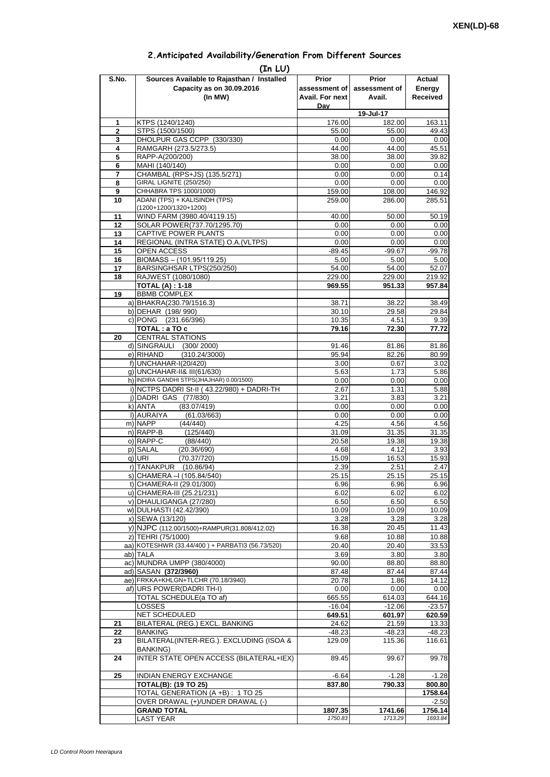| 2. Anticipated Availability/Generation From Different Sources |  |  |  |
|---------------------------------------------------------------|--|--|--|
|                                                               |  |  |  |

| S.No.               | (In LU)<br>Sources Available to Rajasthan / Installed                    | Prior                  | <b>Prior</b>       | Actual             |
|---------------------|--------------------------------------------------------------------------|------------------------|--------------------|--------------------|
|                     | Capacity as on 30.09.2016                                                | assessment of          | assessment of      | Energy             |
|                     | (In MW)                                                                  | <b>Avail. For next</b> | Avail.             | <b>Received</b>    |
|                     |                                                                          | Dav                    |                    |                    |
|                     |                                                                          |                        | 19-Jul-17          |                    |
| 1<br>$\overline{2}$ | KTPS (1240/1240)<br>STPS (1500/1500)                                     | 176.00<br>55.00        | 182.00<br>55.00    | 163.11<br>49.43    |
| 3                   | DHOLPUR GAS CCPP (330/330)                                               | 0.00                   | 0.00               | 0.00               |
| 4                   | RAMGARH (273.5/273.5)                                                    | 44.00                  | 44.00              | 45.51              |
| 5                   | RAPP-A(200/200)                                                          | 38.00                  | 38.00              | 39.82              |
| 6                   | MAHI (140/140)                                                           | 0.00                   | 0.00               | 0.00               |
| 7<br>8              | CHAMBAL (RPS+JS) (135.5/271)<br>GIRAL LIGNITE (250/250)                  | 0.00<br>0.00           | 0.00               | 0.14               |
| 9                   | CHHABRA TPS 1000/1000)                                                   | 159.00                 | 0.00<br>108.00     | 0.00<br>146.92     |
| 10                  | ADANI (TPS) + KALISINDH (TPS)                                            | 259.00                 | 286.00             | 285.51             |
|                     | (1200+1200/1320+1200)                                                    |                        |                    |                    |
| 11<br>12            | WIND FARM (3980.40/4119.15)<br>SOLAR POWER(737.70/1295.70)               | 40.00<br>0.00          | 50.00<br>0.00      | 50.19<br>0.00      |
| 13                  | CAPTIVE POWER PLANTS                                                     | 0.00                   | 0.00               | 0.00               |
| 14                  | REGIONAL (INTRA STATE) O.A. (VLTPS)                                      | 0.00                   | 0.00               | 0.00               |
| 15                  | OPEN ACCESS                                                              | $-89.45$               | $-99.67$           | $-99.78$           |
| 16                  | BIOMASS - (101.95/119.25)                                                | 5.00                   | 5.00               | 5.00               |
| 17                  | BARSINGHSAR LTPS(250/250)                                                | 54.00                  | 54.00              | 52.07              |
| 18                  | RAJWEST (1080/1080)<br><b>TOTAL (A): 1-18</b>                            | 229.00<br>969.55       | 229.00<br>951.33   | 219.92<br>957.84   |
| 19                  | <b>BBMB COMPLEX</b>                                                      |                        |                    |                    |
|                     | a) BHAKRA(230.79/1516.3)                                                 | 38.71                  | 38.22              | 38.49              |
|                     | b) DEHAR (198/990)                                                       | 30.10                  | 29.58              | 29.84              |
|                     | c) PONG (231.66/396)<br>TOTAL: a TO c                                    | 10.35<br>79.16         | 4.51<br>72.30      | 9.39<br>77.72      |
| 20                  | <b>CENTRAL STATIONS</b>                                                  |                        |                    |                    |
|                     | d) SINGRAULI<br>(300/2000)                                               | 91.46                  | 81.86              | 81.86              |
|                     | e) RIHAND<br>(310.24/3000)                                               | 95.94                  | 82.26              | 80.99              |
|                     | f) UNCHAHAR-I(20/420)                                                    | 3.00                   | 0.67               | 3.02               |
|                     | q) UNCHAHAR-II& III(61/630)<br>h) INDIRA GANDHI STPS(JHAJHAR) 0.00/1500) | 5.63<br>0.00           | 1.73<br>0.00       | 5.86<br>0.00       |
|                     | i) NCTPS DADRI St-II (43.22/980) + DADRI-TH                              | 2.67                   | 1.31               | 5.88               |
|                     | j) DADRI GAS (77/830)                                                    | 3.21                   | 3.83               | 3.21               |
|                     | k) ANTA<br>(83.07/419)                                                   | 0.00                   | 0.00               | 0.00               |
|                     | I) AURAIYA<br>(61.03/663)                                                | 0.00                   | 0.00               | 0.00               |
|                     | m) NAPP<br>(44/440)<br>n) RAPP-B<br>(125/440)                            | 4.25<br>31.09          | 4.56<br>31.35      | 4.56<br>31.35      |
|                     | o) RAPP-C<br>(88/440)                                                    | 20.58                  | 19.38              | 19.38              |
|                     | p) SALAL<br>(20.36/690)                                                  | 4.68                   | 4.12               | 3.93               |
|                     | (70.37/720)<br>q) URI                                                    | 15.09                  | 16.53              | 15.93              |
|                     | r) TANAKPUR<br>(10.86/94)                                                | 2.39                   | 2.51               | 2.47               |
|                     | S) CHAMERA –I (105.84/540)<br>t) CHAMERA-II (29.01/300)                  | 25.15<br>6.96          | 25.15<br>6.96      | 25.15<br>6.96      |
|                     | u) CHAMERA-III (25.21/231)                                               | 6.02                   | 6.02               | 6.02               |
|                     | v) DHAULIGANGA (27/280)                                                  | 6.50                   | 6.50               | 6.50               |
|                     | w) DULHASTI (42.42/390)                                                  | 10.09                  | 10.09              | 10.09              |
|                     | x) SEWA (13/120)                                                         | 3.28                   | 3.28               | 3.28               |
|                     | y) NJPC (112.00/1500)+RAMPUR(31.808/412.02)<br>z) TEHRI (75/1000)        | 16.38                  | 20.45              | 11.43              |
|                     | aa) KOTESHWR (33.44/400) + PARBATI3 (56.73/520)                          | 9.68<br>20.40          | 10.88<br>20.40     | 10.88<br>33.53     |
|                     | ab) TALA                                                                 | 3.69                   | 3.80               | 3.80               |
|                     | ac) MUNDRA UMPP (380/4000)                                               | 90.00                  | 88.80              | 88.80              |
|                     | ad) SASAN (372/3960)                                                     | 87.48                  | 87.44              | 87.44              |
|                     | ae) FRKKA+KHLGN+TLCHR (70.18/3940)<br>af) URS POWER(DADRI TH-I)          | 20.78<br>0.00          | 1.86<br>0.00       | 14.12              |
|                     | TOTAL SCHEDULE(a TO af)                                                  | 665.55                 | 614.03             | 0.00<br>644.16     |
|                     | <b>LOSSES</b>                                                            | $-16.04$               | $-12.06$           | $-23.57$           |
|                     | NET SCHEDULED                                                            | 649.51                 | 601.97             | 620.59             |
| 21                  | BILATERAL (REG.) EXCL. BANKING                                           | 24.62                  | 21.59              | 13.33              |
| 22<br>23            | <b>BANKING</b><br>BILATERAL(INTER-REG.). EXCLUDING (ISOA &               | $-48.23$<br>129.09     | $-48.23$<br>115.36 | $-48.23$<br>116.61 |
|                     | <b>BANKING)</b>                                                          |                        |                    |                    |
| 24                  | INTER STATE OPEN ACCESS (BILATERAL+IEX)                                  | 89.45                  | 99.67              | 99.78              |
| 25                  | INDIAN ENERGY EXCHANGE                                                   | $-6.64$                | $-1.28$            | $-1.28$            |
|                     | <b>TOTAL(B): (19 TO 25)</b>                                              | 837.80                 | 790.33             | 800.80             |
|                     | TOTAL GENERATION (A +B) : 1 TO 25                                        |                        |                    | 1758.64            |
|                     | OVER DRAWAL (+)/UNDER DRAWAL (-)<br><b>GRAND TOTAL</b>                   |                        |                    | $-2.50$<br>1756.14 |
|                     | <b>LAST YEAR</b>                                                         | 1807.35<br>1750.83     | 1741.66<br>1713.29 | 1693.84            |
|                     |                                                                          |                        |                    |                    |